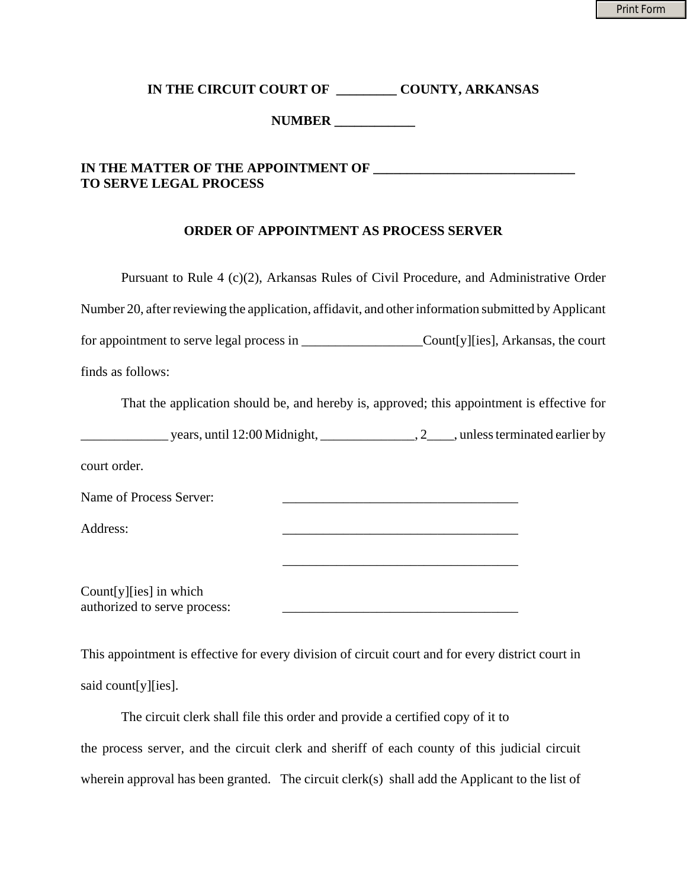Print Form

**IN THE CIRCUIT COURT OF \_\_\_\_\_\_\_\_\_ COUNTY, ARKANSAS**

**NUMBER \_\_\_\_\_\_\_\_\_\_\_\_**

## **IN THE MATTER OF THE APPOINTMENT OF \_\_\_\_\_\_\_\_\_\_\_\_\_\_\_\_\_\_\_\_\_\_\_\_\_\_\_\_\_\_ TO SERVE LEGAL PROCESS**

## **ORDER OF APPOINTMENT AS PROCESS SERVER**

| Pursuant to Rule 4 (c)(2), Arkansas Rules of Civil Procedure, and Administrative Order              |  |  |  |
|-----------------------------------------------------------------------------------------------------|--|--|--|
| Number 20, after reviewing the application, affidavit, and other information submitted by Applicant |  |  |  |
| for appointment to serve legal process in ____________________Count[y][ies], Arkansas, the court    |  |  |  |
| finds as follows:                                                                                   |  |  |  |
| That the application should be, and hereby is, approved; this appointment is effective for          |  |  |  |
| years, until 12:00 Midnight, 22, 23, unless terminated earlier by                                   |  |  |  |
| court order.                                                                                        |  |  |  |
| Name of Process Server:                                                                             |  |  |  |
| Address:                                                                                            |  |  |  |
|                                                                                                     |  |  |  |
| $Count[y][ies]$ in which<br>authorized to serve process:                                            |  |  |  |

This appointment is effective for every division of circuit court and for every district court in said count[y][ies].

 The circuit clerk shall file this order and provide a certified copy of it to the process server, and the circuit clerk and sheriff of each county of this judicial circuit wherein approval has been granted. The circuit clerk(s) shall add the Applicant to the list of